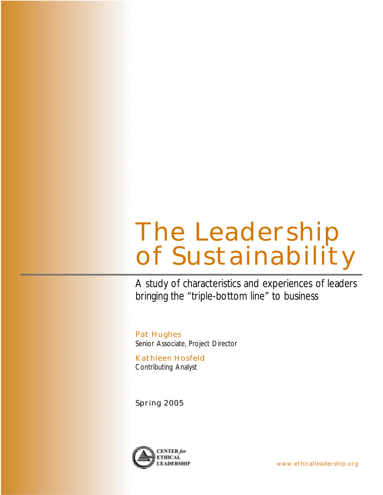# **The Leadership of Sustainability**

A study of characteristics and experiences of leaders bringing the "triple-bottom line" to business

**Pat Hughes** Senior Associate, Project Director

**Kathleen Hosfeld** Contributing Analyst

**Spring 2005**

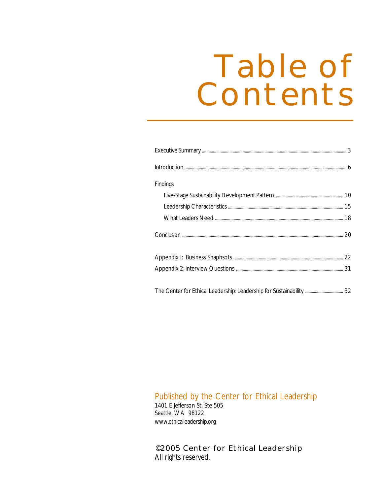# **Table of Contents**

| <b>Findings</b>                                                      |  |
|----------------------------------------------------------------------|--|
|                                                                      |  |
|                                                                      |  |
|                                                                      |  |
|                                                                      |  |
|                                                                      |  |
|                                                                      |  |
|                                                                      |  |
| The Center for Ethical Leadership: Leadership for Sustainability  32 |  |

### Published by the Center for Ethical Leadership

1401 E Jefferson St, Ste 505 Seattle, WA 98122 www.ethicalleadership.org

### **©2005 Center for Ethical Leadership** All rights reserved.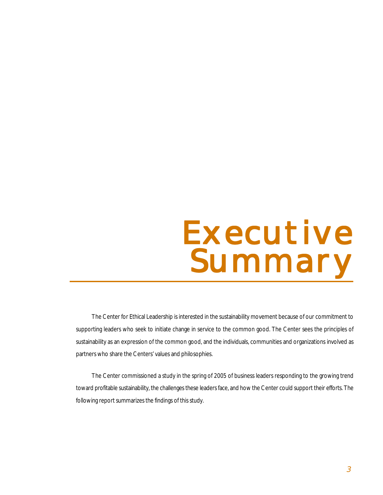# **Executive Executive Executive Summary Summary Summary**

The Center for Ethical Leadership is interested in the sustainability movement because of our commitment to supporting leaders who seek to initiate change in service to the common good. The Center sees the principles of sustainability as an expression of the common good, and the individuals, communities and organizations involved as partners who share the Centers' values and philosophies.

The Center commissioned a study in the spring of 2005 of business leaders responding to the growing trend toward profitable sustainability, the challenges these leaders face, and how the Center could support their efforts. The following report summarizes the findings of this study.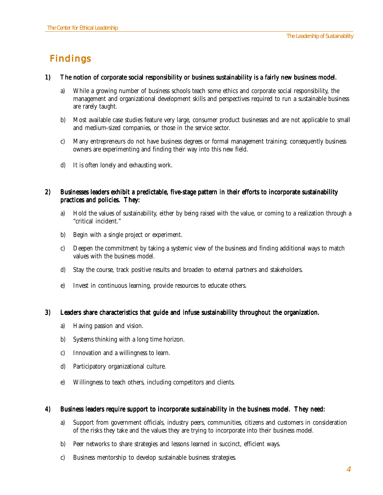# **Findings**

### 1) The notion of corporate social responsibility or business sustainability is a fairly new business model.

- a) While a growing number of business schools teach some ethics and corporate social responsibility, the management and organizational development skills and perspectives required to run a sustainable business are rarely taught.
- b) Most available case studies feature very large, consumer product businesses and are not applicable to small and medium-sized companies, or those in the service sector.
- c) Many entrepreneurs do not have business degrees or formal management training; consequently business owners are experimenting and finding their way into this new field.
- d) It is often lonely and exhausting work.

### 2) Businesses leaders exhibit a predictable, five-stage pattern in their efforts to incorporate sustainability practices and policies. They:

- a) Hold the values of sustainability, either by being raised with the value, or coming to a realization through a "critical incident."
- b) Begin with a single project or experiment.
- c) Deepen the commitment by taking a systemic view of the business and finding additional ways to match values with the business model.
- d) Stay the course, track positive results and broaden to external partners and stakeholders.
- e) Invest in continuous learning, provide resources to educate others.

### 3) Leaders share characteristics that guide and infuse sustainability throughout the organization.

- a) Having passion and vision.
- b) Systems thinking with a long time horizon.
- c) Innovation and a willingness to learn.
- d) Participatory organizational culture.
- e) Willingness to teach others, including competitors and clients.

### 4) Business leaders require support to incorporate sustainability in the business model. They need:

- a) Support from government officials, industry peers, communities, citizens and customers in consideration of the risks they take and the values they are trying to incorporate into their business model.
- b) Peer networks to share strategies and lessons learned in succinct, efficient ways.
- c) Business mentorship to develop sustainable business strategies.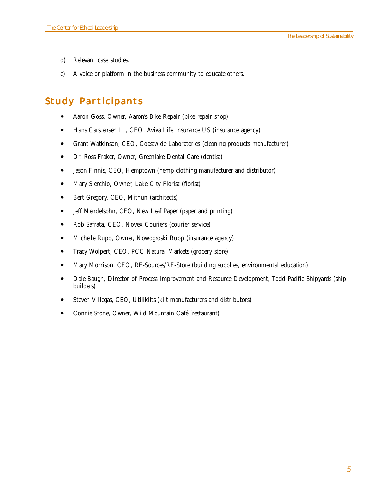- d) Relevant case studies.
- e) A voice or platform in the business community to educate others.

## **Study Participants**

- ! Aaron Goss, Owner, Aaron's Bike Repair (bike repair shop)
- Hans Carstensen III, CEO, Aviva Life Insurance US (insurance agency)
- ! Grant Watkinson, CEO, Coastwide Laboratories (cleaning products manufacturer)
- ! Dr. Ross Fraker, Owner, Greenlake Dental Care (dentist)
- ! Jason Finnis, CEO, Hemptown (hemp clothing manufacturer and distributor)
- Mary Sierchio, Owner, Lake City Florist (florist)
- Bert Gregory, CEO, Mithun (architects)
- Jeff Mendelsohn, CEO, New Leaf Paper (paper and printing)
- ! Rob Safrata, CEO, Novex Couriers (courier service)
- ! Michelle Rupp, Owner, Nowogroski Rupp (insurance agency)
- ! Tracy Wolpert, CEO, PCC Natural Markets (grocery store)
- ! Mary Morrison, CEO, RE-Sources/RE-Store (building supplies, environmental education)
- Dale Baugh, Director of Process Improvement and Resource Development, Todd Pacific Shipyards (ship builders)
- Steven Villegas, CEO, Utilikilts (kilt manufacturers and distributors)
- ! Connie Stone, Owner, Wild Mountain Café (restaurant)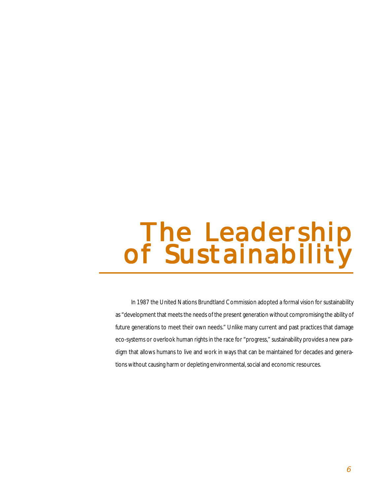# **The Leadership The Leadership of Sustainability**

In 1987 the United Nations Brundtland Commission adopted a formal vision for sustainability as "development that meets the needs of the present generation without compromising the ability of future generations to meet their own needs." Unlike many current and past practices that damage eco-systems or overlook human rights in the race for "progress," sustainability provides a new paradigm that allows humans to live and work in ways that can be maintained for decades and generations without causing harm or depleting environmental, social and economic resources.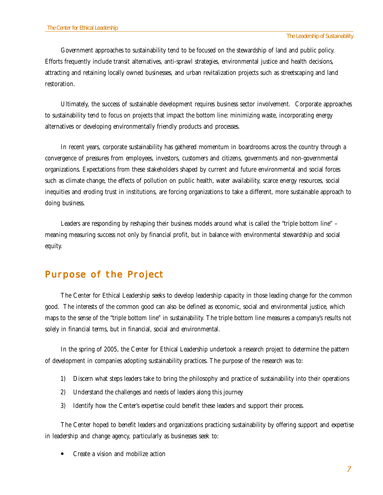Government approaches to sustainability tend to be focused on the stewardship of land and public policy. Efforts frequently include transit alternatives, anti-sprawl strategies, environmental justice and health decisions, attracting and retaining locally owned businesses, and urban revitalization projects such as streetscaping and land restoration.

Ultimately, the success of sustainable development requires business sector involvement. Corporate approaches to sustainability tend to focus on projects that impact the bottom line: minimizing waste, incorporating energy alternatives or developing environmentally friendly products and processes.

In recent years, corporate sustainability has gathered momentum in boardrooms across the country through a convergence of pressures from employees, investors, customers and citizens, governments and non-governmental organizations. Expectations from these stakeholders shaped by current and future environmental and social forces such as climate change, the effects of pollution on public health, water availability, scarce energy resources, social inequities and eroding trust in institutions, are forcing organizations to take a different, more sustainable approach to doing business.

Leaders are responding by reshaping their business models around what is called the "triple bottom line" – meaning measuring success not only by financial profit, but in balance with environmental stewardship and social equity.

### **Purpose of the Project**

The Center for Ethical Leadership seeks to develop leadership capacity in those leading change for the common good. The interests of the common good can also be defined as economic, social and environmental justice, which maps to the sense of the "triple bottom line" in sustainability. The triple bottom line measures a company's results not solely in financial terms, but in financial, social and environmental.

In the spring of 2005, the Center for Ethical Leadership undertook a research project to determine the pattern of development in companies adopting sustainability practices. The purpose of the research was to:

- 1) Discern what steps leaders take to bring the philosophy and practice of sustainability into their operations
- 2) Understand the challenges and needs of leaders along this journey
- 3) Identify how the Center's expertise could benefit these leaders and support their process.

The Center hoped to benefit leaders and organizations practicing sustainability by offering support and expertise in leadership and change agency, particularly as businesses seek to:

! Create a vision and mobilize action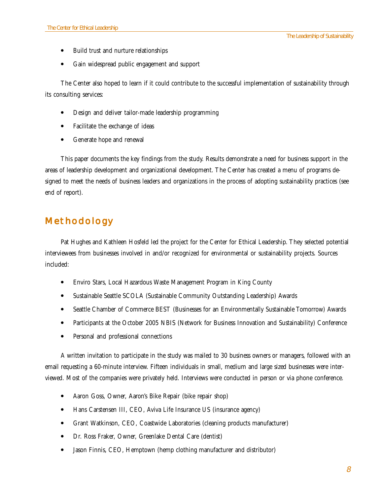- ! Build trust and nurture relationships
- ! Gain widespread public engagement and support

The Center also hoped to learn if it could contribute to the successful implementation of sustainability through its consulting services:

- ! Design and deliver tailor-made leadership programming
- ! Facilitate the exchange of ideas
- Generate hope and renewal

This paper documents the key findings from the study. Results demonstrate a need for business support in the areas of leadership development and organizational development. The Center has created a menu of programs designed to meet the needs of business leaders and organizations in the process of adopting sustainability practices (see end of report).

### **Methodology**

Pat Hughes and Kathleen Hosfeld led the project for the Center for Ethical Leadership. They selected potential interviewees from businesses involved in and/or recognized for environmental or sustainability projects. Sources included:

- Enviro Stars, Local Hazardous Waste Management Program in King County
- ! Sustainable Seattle SCOLA (Sustainable Community Outstanding Leadership) Awards
- ! Seattle Chamber of Commerce BEST (Businesses for an Environmentally Sustainable Tomorrow) Awards
- ! Participants at the October 2005 NBIS (Network for Business Innovation and Sustainability) Conference
- Personal and professional connections

A written invitation to participate in the study was mailed to 30 business owners or managers, followed with an email requesting a 60-minute interview. Fifteen individuals in small, medium and large sized businesses were interviewed. Most of the companies were privately held. Interviews were conducted in person or via phone conference.

- ! Aaron Goss, Owner, Aaron's Bike Repair (bike repair shop)
- Hans Carstensen III, CEO, Aviva Life Insurance US (insurance agency)
- ! Grant Watkinson, CEO, Coastwide Laboratories (cleaning products manufacturer)
- Dr. Ross Fraker, Owner, Greenlake Dental Care (dentist)
- ! Jason Finnis, CEO, Hemptown (hemp clothing manufacturer and distributor)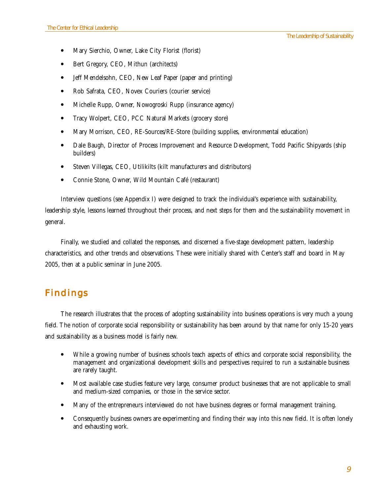- ! Mary Sierchio, Owner, Lake City Florist (florist)
- ! Bert Gregory, CEO, Mithun (architects)
- Jeff Mendelsohn, CEO, New Leaf Paper (paper and printing)
- Rob Safrata, CEO, Novex Couriers (courier service)
- Michelle Rupp, Owner, Nowogroski Rupp (insurance agency)
- ! Tracy Wolpert, CEO, PCC Natural Markets (grocery store)
- ! Mary Morrison, CEO, RE-Sources/RE-Store (building supplies, environmental education)
- ! Dale Baugh, Director of Process Improvement and Resource Development, Todd Pacific Shipyards (ship builders)
- ! Steven Villegas, CEO, Utilikilts (kilt manufacturers and distributors)
- ! Connie Stone, Owner, Wild Mountain Café (restaurant)

Interview questions (see Appendix I) were designed to track the individual's experience with sustainability, leadership style, lessons learned throughout their process, and next steps for them and the sustainability movement in general.

Finally, we studied and collated the responses, and discerned a five-stage development pattern, leadership characteristics, and other trends and observations. These were initially shared with Center's staff and board in May 2005, then at a public seminar in June 2005.

### **Findings**

The research illustrates that the process of adopting sustainability into business operations is very much a young field. The notion of corporate social responsibility or sustainability has been around by that name for only 15-20 years and sustainability as a business model is fairly new.

- ! While a growing number of business schools teach aspects of ethics and corporate social responsibility, the management and organizational development skills and perspectives required to run a sustainable business are rarely taught.
- ! Most available case studies feature very large, consumer product businesses that are not applicable to small and medium-sized companies, or those in the service sector.
- ! Many of the entrepreneurs interviewed do not have business degrees or formal management training.
- ! Consequently business owners are experimenting and finding their way into this new field. It is often lonely and exhausting work.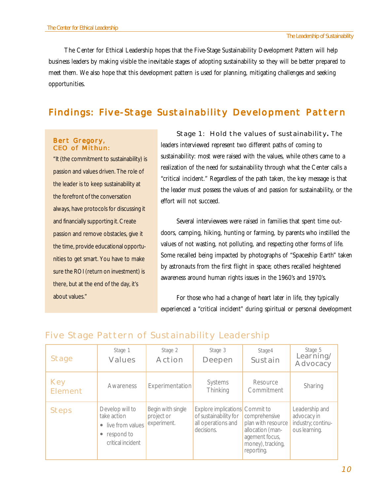The Center for Ethical Leadership hopes that the Five-Stage Sustainability Development Pattern will help business leaders by making visible the inevitable stages of adopting sustainability so they will be better prepared to meet them. We also hope that this development pattern is used for planning, mitigating challenges and seeking opportunities.

### **Findings: Five-Stage Sustainability Development Pattern**

### **Bert Gregory, CEO of Mithun:**

"It (the commitment to sustainability) is passion and values driven. The role of the leader is to keep sustainability at the forefront of the conversation always, have protocols for discussing it and financially supporting it. Create passion and remove obstacles, give it the time, provide educational opportunities to get smart. You have to make sure the ROI (return on investment) is there, but at the end of the day, it's about values."

**Stage 1: Hold the values of sustainability.** The leaders interviewed represent two different paths of coming to sustainability: most were raised with the values, while others came to a realization of the need for sustainability through what the Center calls a "critical incident." Regardless of the path taken, the key message is that the leader must possess the values of and passion for sustainability, or the effort will not succeed.

Several interviewees were raised in families that spent time outdoors, camping, hiking, hunting or farming, by parents who instilled the values of not wasting, not polluting, and respecting other forms of life. Some recalled being impacted by photographs of "Spaceship Earth" taken by astronauts from the first flight in space; others recalled heightened awareness around human rights issues in the 1960's and 1970's.

For those who had a change of heart later in life, they typically experienced a "critical incident" during spiritual or personal development

| <b>Stage</b>                 | Stage 1<br><b>Values</b>                                                                | Stage 2<br>Action                              | Stage 3<br>Deepen                                                                           | Stage4<br>Sustain                                                                                            | Stage 5<br>Learning/<br>Advocacy                                     |
|------------------------------|-----------------------------------------------------------------------------------------|------------------------------------------------|---------------------------------------------------------------------------------------------|--------------------------------------------------------------------------------------------------------------|----------------------------------------------------------------------|
| <b>Key</b><br><b>Element</b> | Awareness                                                                               | <b>Experimentation</b>                         | Systems<br>Thinking                                                                         | Resource<br>Commitment                                                                                       | Sharing                                                              |
| <b>Steps</b>                 | Develop will to<br>take action<br>• live from values<br>respond to<br>critical incident | Begin with single<br>project or<br>experiment. | Explore implications Commit to<br>of sustainability for<br>all operations and<br>decisions. | comprehensive<br>plan with resource<br>allocation (man-<br>agement focus,<br>money), tracking,<br>reporting. | Leadership and<br>advocacy in<br>industry; continu-<br>ous learning. |

### **Five Stage Pattern of Sustainability Leadership**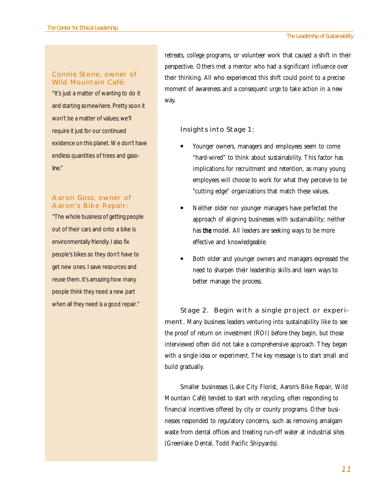### **Connie Stone, owner of Wild Mountain Café:**

"It's just a matter of wanting to do it and starting somewhere. Pretty soon it won't be a matter of values; we'll require it just for our continued existence on this planet. We don't have endless quantities of trees and gasoline."

### **Aaron Goss, owner of Aaron's Bike Repair:**

"The whole business of getting people out of their cars and onto a bike is environmentally friendly. I also fix people's bikes so they don't have to get new ones. I save resources and reuse them. It's amazing how many people think they need a new part when all they need is a good repair."

retreats, college programs, or volunteer work that caused a shift in their perspective. Others met a mentor who had a significant influence over their thinking. All who experienced this shift could point to a precise moment of awareness and a consequent urge to take action in a new way.

### **Insights into Stage 1:**

- ! Younger owners, managers and employees seem to come "hard-wired" to think about sustainability. This factor has implications for recruitment and retention, as many young employees will choose to work for what they perceive to be "cutting edge" organizations that match these values.
- Neither older nor younger managers have perfected the approach of aligning businesses with sustainability; neither has *the* model. All leaders are seeking ways to be more effective and knowledgeable.
- Both older and younger owners and managers expressed the need to sharpen their leadership skills and learn ways to better manage the process.

**Stage 2. Begin with a single project or experiment**. Many business leaders venturing into sustainability like to see the proof of return on investment (ROI) before they begin, but those interviewed often did not take a comprehensive approach. They began with a single idea or experiment. The key message is to start small and build gradually.

Smaller businesses (Lake City Florist, Aaron's Bike Repair, Wild Mountain Café) tended to start with recycling, often responding to financial incentives offered by city or county programs. Other businesses responded to regulatory concerns, such as removing amalgam waste from dental offices and treating run-off water at industrial sites (Greenlake Dental, Todd Pacific Shipyards).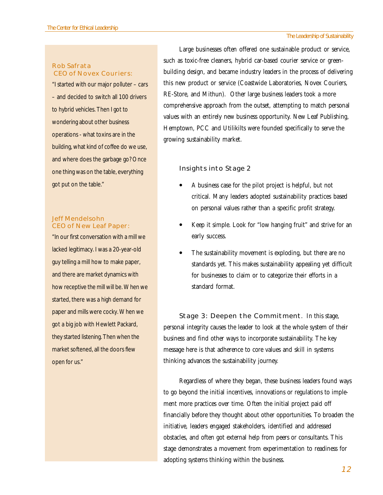### **Rob Safrata CEO of Novex Couriers:**

"I started with our major polluter – cars – and decided to switch all 100 drivers to hybrid vehicles. Then I got to wondering about other business operations - what toxins are in the building, what kind of coffee do we use, and where does the garbage go? Once one thing was on the table, everything got put on the table."

### **Jeff Mendelsohn CEO of New Leaf Paper:**

"In our first conversation with a mill we lacked legitimacy. I was a 20-year-old guy telling a mill how to make paper, and there are market dynamics with how receptive the mill will be. When we started, there was a high demand for paper and mills were cocky. When we got a big job with Hewlett Packard, they started listening. Then when the market softened, all the doors flew open for us."

Large businesses often offered one sustainable product or service, such as toxic-free cleaners, hybrid car-based courier service or greenbuilding design, and became industry leaders in the process of delivering this new product or service (Coastwide Laboratories, Novex Couriers, RE-Store, and Mithun). Other large business leaders took a more comprehensive approach from the outset, attempting to match personal values with an entirely new business opportunity. New Leaf Publishing, Hemptown, PCC and Utilikilts were founded specifically to serve the growing sustainability market.

### **Insights into Stage 2**

- ! A business case for the pilot project is helpful, but not critical. Many leaders adopted sustainability practices based on personal values rather than a specific profit strategy.
- ! Keep it simple. Look for "low hanging fruit" and strive for an early success.
- The sustainability movement is exploding, but there are no standards yet. This makes sustainability appealing yet difficult for businesses to claim or to categorize their efforts in a standard format.

**Stage 3: Deepen the Commitment**. In this stage, personal integrity causes the leader to look at the whole system of their business and find other ways to incorporate sustainability. The key message here is that adherence to core values and skill in systems thinking advances the sustainability journey.

Regardless of where they began, these business leaders found ways to go beyond the initial incentives, innovations or regulations to implement more practices over time. Often the initial project paid off financially before they thought about other opportunities. To broaden the initiative, leaders engaged stakeholders, identified and addressed obstacles, and often got external help from peers or consultants. This stage demonstrates a movement from experimentation to readiness for adopting systems thinking within the business.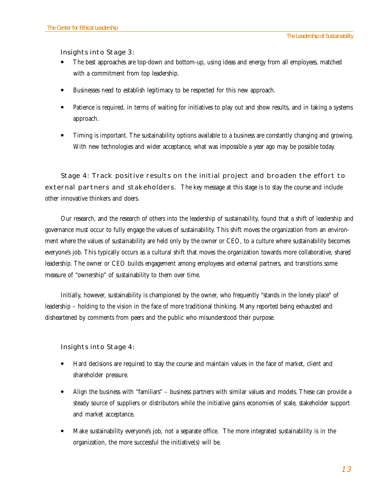### **Insights into Stage 3:**

- ! The best approaches are top-down *and* bottom-up, using ideas and energy from all employees, matched with a commitment from top leadership.
- ! Businesses need to establish legitimacy to be respected for this new approach.
- Patience is required, in terms of waiting for initiatives to play out and show results, and in taking a systems approach.
- ! Timing is important. The sustainability options available to a business are constantly changing and growing. With new technologies and wider acceptance, what was impossible a year ago may be possible today.

**Stage 4: Track positive results on the initial project and broaden the effort to external partners and stakeholders.** The key message at this stage is to stay the course and include other innovative thinkers and doers.

Our research, and the research of others into the leadership of sustainability, found that a shift of leadership and governance must occur to fully engage the values of sustainability. This shift moves the organization from an environment where the values of sustainability are held only by the owner or CEO, to a culture where sustainability becomes everyone's job. This typically occurs as a cultural shift that moves the organization towards more collaborative, shared leadership. The owner or CEO builds engagement among employees and external partners, and transitions some measure of "ownership" of sustainability to them over time.

Initially, however, sustainability is championed by the owner, who frequently "stands in the lonely place" of leadership – holding to the vision in the face of more traditional thinking. Many reported being exhausted and disheartened by comments from peers and the public who misunderstood their purpose.

### **Insights into Stage 4:**

- ! Hard decisions are required to stay the course and maintain values in the face of market, client and shareholder pressure.
- ! Align the business with "familiars" business partners with similar values and models. These can provide a steady source of suppliers or distributors while the initiative gains economies of scale, stakeholder support and market acceptance.
- ! Make sustainability everyone's job, not a separate office. The more integrated sustainability is in the organization, the more successful the initiative(s) will be.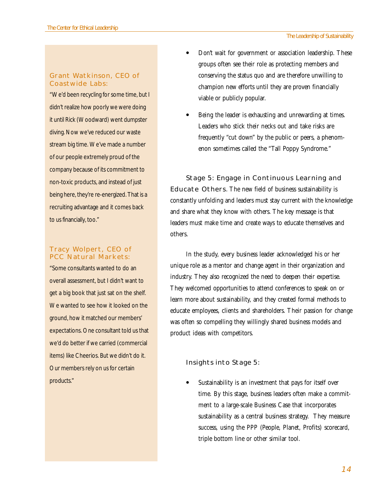### **Grant Watkinson, CEO of Coastwide Labs:**

"We'd been recycling for some time, but I didn't realize how poorly we were doing it until Rick (Woodward) went dumpster diving. Now we've reduced our waste stream big time. We've made a number of our people extremely proud of the company because of its commitment to non-toxic products, and instead of just being here, they're re-energized. That is a recruiting advantage and it comes back to us financially, too."

### **Tracy Wolpert, CEO of PCC Natural Markets:**

"Some consultants wanted to do an overall assessment, but I didn't want to get a big book that just sat on the shelf. We wanted to see how it looked on the ground, how it matched our members' expectations. One consultant told us that we'd do better if we carried (commercial items) like Cheerios. But we didn't do it. Our members rely on us for certain products."

- ! Don't wait for government or association leadership. These groups often see their role as protecting members and conserving the status quo and are therefore unwilling to champion new efforts until they are proven financially viable or publicly popular.
- Being the leader is exhausting and unrewarding at times. Leaders who stick their necks out and take risks are frequently "cut down" by the public or peers, a phenomenon sometimes called the "Tall Poppy Syndrome."

**Stage 5: Engage in Continuous Learning and Educate Others**. The new field of business sustainability is constantly unfolding and leaders must stay current with the knowledge and share what they know with others. The key message is that leaders must make time and create ways to educate themselves and others.

In the study, every business leader acknowledged his or her unique role as a mentor and change agent in their organization and industry. They also recognized the need to deepen their expertise. They welcomed opportunities to attend conferences to speak on or learn more about sustainability, and they created formal methods to educate employees, clients and shareholders. Their passion for change was often so compelling they willingly shared business models and product ideas with competitors.

### **Insights into Stage 5:**

Sustainability is an investment that pays for itself over time. By this stage, business leaders often make a commitment to a large-scale Business Case that incorporates sustainability as a central business strategy. They measure success, using the PPP (People, Planet, Profits) scorecard, triple bottom line or other similar tool.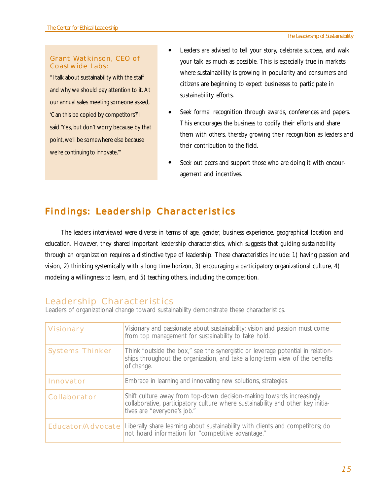### **Grant Watkinson, CEO of Coastwide Labs:**

"I talk about sustainability with the staff and why we should pay attention to it. At our annual sales meeting someone asked, 'Can this be copied by competitors?' I said 'Yes, but don't worry because by that point, we'll be somewhere else because we're continuing to innovate.'"

- Leaders are advised to tell your story, celebrate success, and walk your talk as much as possible. This is especially true in markets where sustainability is growing in popularity and consumers and citizens are beginning to expect businesses to participate in sustainability efforts.  $\bullet$
- Seek formal recognition through awards, conferences and papers. This encourages the business to codify their efforts and share them with others, thereby growing their recognition as leaders and their contribution to the field.  $\bullet$
- Seek out peers and support those who are doing it with encouragement and incentives.  $\bullet$

# **Findings: Leadership Characteristics**

The leaders interviewed were diverse in terms of age, gender, business experience, geographical location and education. However, they shared important leadership characteristics, which suggests that guiding sustainability through an organization requires a distinctive type of leadership. These characteristics include: 1) having passion and vision, 2) thinking systemically with a long time horizon, 3) encouraging a participatory organizational culture, 4) modeling a willingness to learn, and 5) teaching others, including the competition.

### **Leadership Characteristics**

Leaders of organizational change toward sustainability demonstrate these characteristics.

| <b>Visionary</b>         | Visionary and passionate about sustainability; vision and passion must come<br>from top management for sustainability to take hold.                                                     |
|--------------------------|-----------------------------------------------------------------------------------------------------------------------------------------------------------------------------------------|
| <b>Systems Thinker</b>   | Think "outside the box," see the synergistic or leverage potential in relation-<br>ships throughout the organization, and take a long-term view of the benefits<br>of change.           |
| Innovator                | Embrace in learning and innovating new solutions, strategies.                                                                                                                           |
| Collaborator             | Shift culture away from top-down decision-making towards increasingly<br>collaborative, participatory culture where sustainability and other key initia-<br>tives are "everyone's job." |
| <b>Educator/Advocate</b> | Liberally share learning about sustainability with clients and competitors; do<br>not hoard information for "competitive advantage."                                                    |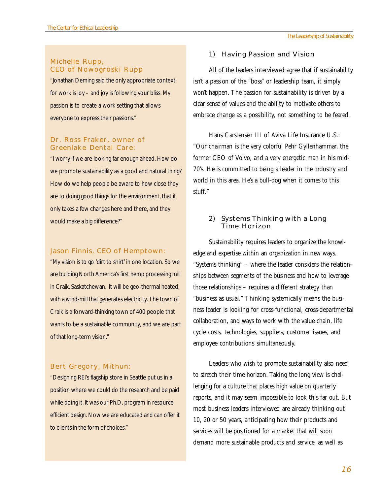### **Michelle Rupp, CEO of Nowogroski Rupp**

"Jonathan Deming said the only appropriate context for work is joy – and joy is following your bliss. My passion is to create a work setting that allows everyone to express their passions."

### **Dr. Ross Fraker, owner of Greenlake Dental Care:**

"I worry if we are looking far enough ahead. How do we promote sustainability as a good and natural thing? How do we help people be aware to how close they are to doing good things for the environment, that it only takes a few changes here and there, and they would make a big difference?"

### **Jason Finnis, CEO of Hemptown:**

"My vision is to go 'dirt to shirt' in one location. So we are building North America's first hemp processing mill in Craik, Saskatchewan. It will be geo-thermal heated, with a wind-mill that generates electricity. The town of Craik is a forward-thinking town of 400 people that wants to be a sustainable community, and we are part of that long-term vision."

#### **Bert Gregory, Mithun:**

"Designing REI's flagship store in Seattle put us in a position where we could do the research and be paid while doing it. It was our Ph.D. program in resource efficient design. Now we are educated and can offer it to clients in the form of choices."

#### **1) Having Passion and Vision**

All of the leaders interviewed agree that if sustainability isn't a passion of the "boss" or leadership team, it simply won't happen. The passion for sustainability is driven by a clear sense of values and the ability to motivate others to embrace change as a possibility, not something to be feared.

Hans Carstensen III of Aviva Life Insurance U.S.: "Our chairman is the very colorful Pehr Gyllenhammar, the former CEO of Volvo, and a very energetic man in his mid-70's. He is committed to being a leader in the industry and world in this area. He's a bull-dog when it comes to this stuff."

### **2) Systems Thinking with a Long Time Horizon**

Sustainability requires leaders to organize the knowledge and expertise within an organization in new ways. "Systems thinking" – where the leader considers the relationships between segments of the business and how to leverage those relationships – requires a different strategy than "business as usual." Thinking systemically means the business leader is looking for cross-functional, cross-departmental collaboration, and ways to work with the value chain, life cycle costs, technologies, suppliers, customer issues, and employee contributions simultaneously.

Leaders who wish to promote sustainability also need to stretch their time horizon. Taking the long view is challenging for a culture that places high value on quarterly reports, and it may seem impossible to look this far out. But most business leaders interviewed are already thinking out 10, 20 or 50 years, anticipating how their products and services will be positioned for a market that will soon demand more sustainable products and service, as well as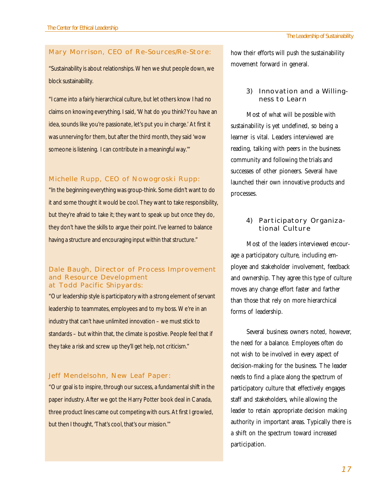### **Mary Morrison, CEO of Re-Sources/Re-Store:**

"Sustainability is about relationships. When we shut people down, we block sustainability.

"I came into a fairly hierarchical culture, but let others know I had no claims on knowing everything. I said, 'What do you think? You have an idea, sounds like you're passionate, let's put you in charge.' At first it was unnerving for them, but after the third month, they said 'wow someone is listening. I can contribute in a meaningful way.'"

### **Michelle Rupp, CEO of Nowogroski Rupp:**

"In the beginning everything was group-think. Some didn't want to do it and some thought it would be cool. They want to take responsibility, but they're afraid to take it; they want to speak up but once they do, they don't have the skills to argue their point. I've learned to balance having a structure and encouraging input within that structure."

### **Dale Baugh, Director of Process Improvement and Resource Development at Todd Pacific Shipyards:**

"Our leadership style is participatory with a strong element of servant leadership to teammates, employees and to my boss. We're in an industry that can't have unlimited innovation – we must stick to standards – but within that, the climate is positive. People feel that if they take a risk and screw up they'll get help, not criticism."

### **Jeff Mendelsohn, New Leaf Paper:**

"Our goal is to inspire, through our success, a fundamental shift in the paper industry. After we got the Harry Potter book deal in Canada, three product lines came out competing with ours. At first I growled, but then I thought, 'That's cool, that's our mission.'"

how their efforts will push the sustainability movement forward in general.

### **3) Innovation and a Willingness to Learn**

Most of what will be possible with sustainability is yet undefined, so being a learner is vital. Leaders interviewed are reading, talking with peers in the business community and following the trials and successes of other pioneers. Several have launched their own innovative products and processes.

### **4) Participatory Organizational Culture**

Most of the leaders interviewed encourage a participatory culture, including employee and stakeholder involvement, feedback and ownership. They agree this type of culture moves any change effort faster and farther than those that rely on more hierarchical forms of leadership.

Several business owners noted, however, the need for a balance. Employees often do not wish to be involved in every aspect of decision-making for the business. The leader needs to find a place along the spectrum of participatory culture that effectively engages staff and stakeholders, while allowing the leader to retain appropriate decision making authority in important areas. Typically there is a shift on the spectrum toward increased participation.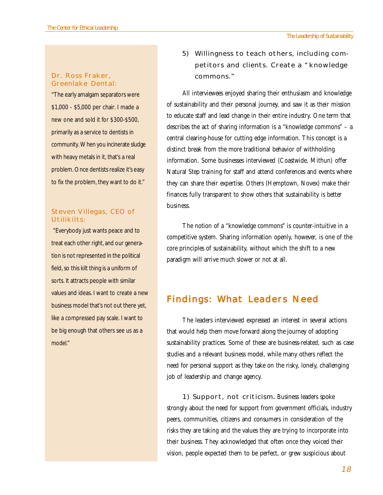### **Dr. Ross Fraker, Greenlake Dental:**

"The early amalgam separators were \$1,000 - \$5,000 per chair. I made a new one and sold it for \$300-\$500, primarily as a service to dentists in community. When you incinerate sludge with heavy metals in it, that's a real problem. Once dentists realize it's easy to fix the problem, they want to do it."

### **Steven Villegas, CEO of Utilikilts:**

 "Everybody just wants peace and to treat each other right, and our generation is not represented in the political field, so this kilt thing is a uniform of sorts. It attracts people with similar values and ideas. I want to create a new business model that's not out there yet, like a compressed pay scale. I want to be big enough that others see us as a model."

**5) Willingness to teach others, including competitors and clients. Create a "knowledge commons."**

All interviewees enjoyed sharing their enthusiasm and knowledge of sustainability and their personal journey, and saw it as their mission to educate staff and lead change in their entire industry. One term that describes the act of sharing information is a "knowledge commons" – a central clearing-house for cutting edge information. This concept is a distinct break from the more traditional behavior of withholding information. Some businesses interviewed (Coastwide, Mithun) offer Natural Step training for staff and attend conferences and events where they can share their expertise. Others (Hemptown, Novex) make their finances fully transparent to show others that sustainability is better business.

The notion of a "knowledge commons" is counter-intuitive in a competitive system. Sharing information openly, however, is one of the core principles of sustainability, without which the shift to a new paradigm will arrive much slower or not at all.

### **Findings: What Leaders Need**

The leaders interviewed expressed an interest in several actions that would help them move forward along the journey of adopting sustainability practices. Some of these are business-related, such as case studies and a relevant business model, while many others reflect the need for personal support as they take on the risky, lonely, challenging job of leadership and change agency.

**1) Support, not criticism**. Business leaders spoke . strongly about the need for support from government officials, industry peers, communities, citizens and consumers in consideration of the risks they are taking and the values they are trying to incorporate into their business. They acknowledged that often once they voiced their vision, people expected them to be perfect, or grew suspicious about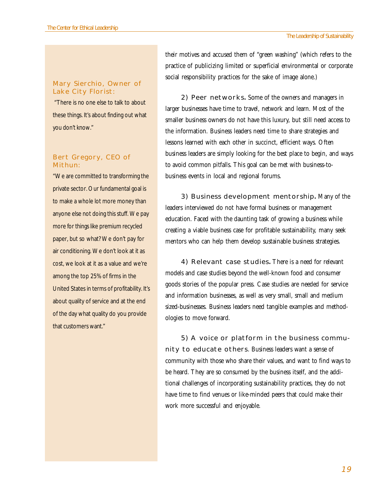### **Mary Sierchio, Owner of Lake City Florist:**

 "There is no one else to talk to about these things. It's about finding out what you don't know."

### **Bert Gregory, CEO of Mithun:**

"We are committed to transforming the private sector. Our fundamental goal is to make a whole lot more money than anyone else not doing this stuff. We pay more for things like premium recycled paper, but so what? We don't pay for air conditioning. We don't look at it as cost, we look at it as a value and we're among the top 25% of firms in the United States in terms of profitability. It's about quality of service and at the end of the day what quality do you provide that customers want."

their motives and accused them of "green washing" (which refers to the practice of publicizing limited or superficial environmental or corporate social responsibility practices for the sake of image alone.)

**2) Peer networks**. Some of the owners and managers in . larger businesses have time to travel, network and learn. Most of the smaller business owners do not have this luxury, but still need access to the information. Business leaders need time to share strategies and lessons learned with each other in succinct, efficient ways. Often business leaders are simply looking for the best place to begin, and ways to avoid common pitfalls. This goal can be met with business-tobusiness events in local and regional forums.

**3) Business development mentorship**. Many of the . leaders interviewed do not have formal business or management education. Faced with the daunting task of growing a business while creating a viable business case for profitable sustainability, many seek mentors who can help them develop sustainable business strategies.

**4) Relevant case studies**. There is a need for relevant . models and case studies beyond the well-known food and consumer goods stories of the popular press. Case studies are needed for service and information businesses, as well as very small, small and medium sized-businesses. Business leaders need tangible examples and methodologies to move forward.

**5) A voice or platform in the business community to educate others**. Business leaders want a sense of community with those who share their values, and want to find ways to be heard. They are so consumed by the business itself, and the additional challenges of incorporating sustainability practices, they do not have time to find venues or like-minded peers that could make their work more successful and enjoyable.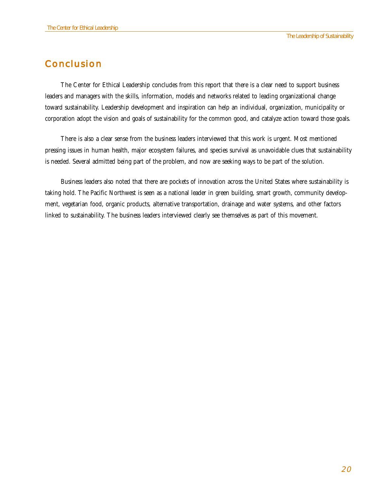### **Conclusion**

The Center for Ethical Leadership concludes from this report that there is a clear need to support business leaders and managers with the skills, information, models and networks related to leading organizational change toward sustainability. Leadership development and inspiration can help an individual, organization, municipality or corporation adopt the vision and goals of sustainability for the common good, and catalyze action toward those goals.

There is also a clear sense from the business leaders interviewed that this work is urgent. Most mentioned pressing issues in human health, major ecosystem failures, and species survival as unavoidable clues that sustainability is needed. Several admitted being part of the problem, and now are seeking ways to be part of the solution.

Business leaders also noted that there are pockets of innovation across the United States where sustainability is taking hold. The Pacific Northwest is seen as a national leader in green building, smart growth, community development, vegetarian food, organic products, alternative transportation, drainage and water systems, and other factors linked to sustainability. The business leaders interviewed clearly see themselves as part of this movement.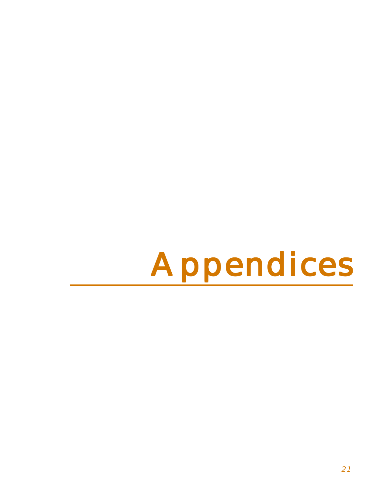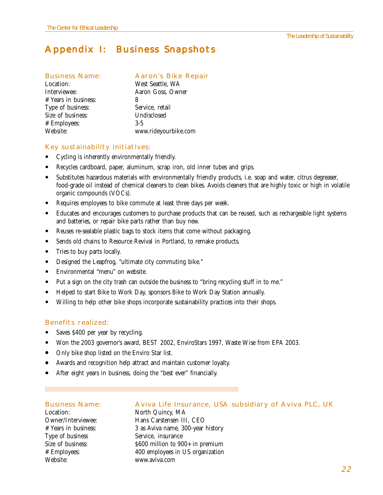### **Appendix I: Business Snapshots**

### **Business Name: Aaron's Bike Repair**

| Location:            | West Seattle, WA     |
|----------------------|----------------------|
| Interviewee:         | Aaron Goss, Owner    |
| # Years in business: | 8                    |
| Type of business:    | Service, retail      |
| Size of business:    | Undisclosed          |
| # Employees:         | $3-5$                |
| Website:             | www.rideyourbike.com |

### **Key sustainability initiatives:**

- ! Cycling is inherently environmentally friendly.
- ! Recycles cardboard, paper, aluminum, scrap iron, old inner tubes and grips.
- ! Substitutes hazardous materials with environmentally friendly products, i.e. soap and water, citrus degreaser, food-grade oil instead of chemical cleaners to clean bikes. Avoids cleaners that are highly toxic or high in volatile organic compounds (VOCs).
- Requires employees to bike commute at least three days per week.
- ! Educates and encourages customers to purchase products that can be reused, such as rechargeable light systems and batteries, or repair bike parts rather than buy new.
- Reuses re-sealable plastic bags to stock items that come without packaging.
- ! Sends old chains to Resource Revival in Portland, to remake products.
- Tries to buy parts locally.
- ! Designed the Leapfrog, "ultimate city commuting bike."
- ! Environmental "menu" on website.
- ! Put a sign on the city trash can outside the business to "bring recycling stuff in to me."
- ! Helped to start Bike to Work Day, sponsors Bike to Work Day Station annually.
- ! Willing to help other bike shops incorporate sustainability practices into their shops.

### **Benefits realized:**

- Saves \$400 per year by recycling.
- ! Won the 2003 governor's award, BEST 2002, EnviroStars 1997, Waste Wise from EPA 2003.
- Only bike shop listed on the Enviro Star list.
- ! Awards and recognition help attract and maintain customer loyalty.
- After eight years in business, doing the "best ever" financially.

Location: North Quincy, MA Type of business Service, insurance Website: www.aviva.com

#### **Business Name: Aviva Life Insurance, USA subsidiary of Aviva PLC, UK**

Owner/Interviewee: Hans Carstensen III, CEO # Years in business: 3 as Aviva name, 300-year history Size of business:  $$600$  million to  $900+$  in premium # Employees: 400 employees in US organization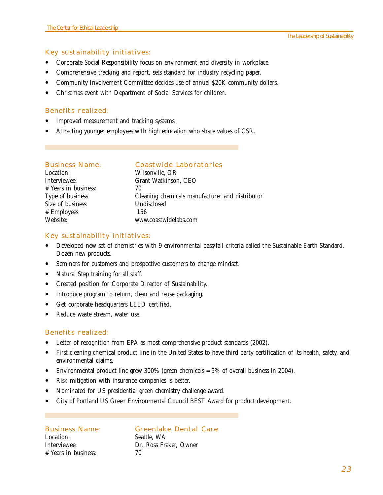### **Key sustainability initiatives:**

- ! Corporate Social Responsibility focus on environment and diversity in workplace.
- ! Comprehensive tracking and report, sets standard for industry recycling paper.
- Community Involvement Committee decides use of annual \$20K community dollars.
- ! Christmas event with Department of Social Services for children.

### **Benefits realized:**

- Improved measurement and tracking systems.
- ! Attracting younger employees with high education who share values of CSR.

## **Business Name: Coastwide Laboratories**

### Location: Wilsonville, OR Interviewee: Grant Watkinson, CEO # Years in business: 70 Type of business Cleaning chemicals manufacturer and distributor Size of business: Undisclosed # Employees: 156 Website: www.coastwidelabs.com

### **Key sustainability initiatives:**

- ! Developed new set of chemistries with 9 environmental pass/fail criteria called the Sustainable Earth Standard. Dozen new products.
- ! Seminars for customers and prospective customers to change mindset.
- Natural Step training for all staff.
- ! Created position for Corporate Director of Sustainability.
- ! Introduce program to return, clean and reuse packaging.
- ! Get corporate headquarters LEED certified.
- Reduce waste stream, water use.

### **Benefits realized:**

- Letter of recognition from EPA as most comprehensive product standards (2002).
- ! First cleaning chemical product line in the United States to have third party certification of its health, safety, and environmental claims.
- Environmental product line grew  $300\%$  (green chemicals =  $9\%$  of overall business in 2004).
- ! Risk mitigation with insurance companies is better.
- ! Nominated for US presidential green chemistry challenge award.
- ! City of Portland US Green Environmental Council BEST Award for product development.

Location: Seattle, WA # Years in business: 70

#### **Business Name: Greenlake Dental Care**

Interviewee: Dr. Ross Fraker, Owner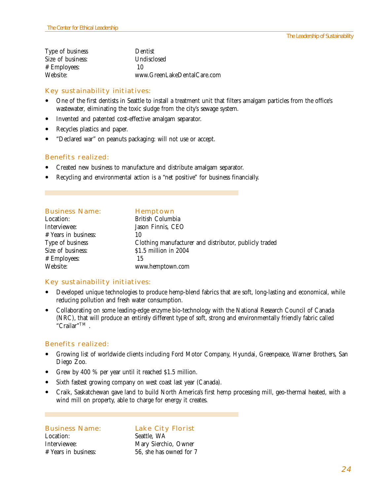| Type of business  | <b>Dentist</b>              |
|-------------------|-----------------------------|
| Size of business: | Undisclosed                 |
| # Employees:      | 10                          |
| Website:          | www.GreenLakeDentalCare.com |

### **Key sustainability initiatives:**

- One of the first dentists in Seattle to install a treatment unit that filters amalgam particles from the office's wastewater, eliminating the toxic sludge from the city's sewage system.
- ! Invented and patented cost-effective amalgam separator.
- ! Recycles plastics and paper.
- "Declared war" on peanuts packaging: will not use or accept.

#### **Benefits realized:**

- ! Created new business to manufacture and distribute amalgam separator.
- ! Recycling and environmental action is a "net positive" for business financially.

| Hemptown                                               |
|--------------------------------------------------------|
| British Columbia                                       |
| Jason Finnis, CEO                                      |
| 10                                                     |
| Clothing manufacturer and distributor, publicly traded |
| \$1.5 million in 2004                                  |
| 15                                                     |
| www.hemptown.com                                       |
|                                                        |

### **Key sustainability initiatives:**

- ! Developed unique technologies to produce hemp-blend fabrics that are soft, long-lasting and economical, while reducing pollution and fresh water consumption.
- ! Collaborating on some leading-edge enzyme bio-technology with the National Research Council of Canada (NRC), that will produce an entirely different type of soft, strong and environmentally friendly fabric called "Crailar"TM .

#### **Benefits realized:**

- ! Growing list of worldwide clients including Ford Motor Company, Hyundai, Greenpeace, Warner Brothers, San Diego Zoo.
- Grew by 400 % per year until it reached \$1.5 million.
- ! Sixth fastest growing company on west coast last year (Canada).
- ! Craik, Saskatchewan gave land to build North America's first hemp processing mill, geo-thermal heated, with a wind mill on property, able to charge for energy it creates.

Location: Seattle, WA

### **Business Name: Lake City Florist**

Interviewee: Mary Sierchio, Owner # Years in business: 56, she has owned for 7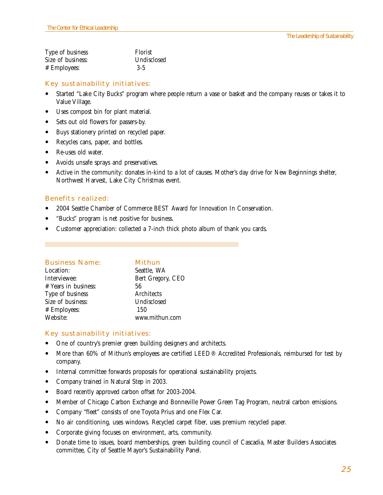| Type of business  | Florist     |
|-------------------|-------------|
| Size of business: | Undisclosed |
| # Employees:      | $3-5$       |

### **Key sustainability initiatives:**

- ! Started "Lake City Bucks" program where people return a vase or basket and the company reuses or takes it to Value Village.
- Uses compost bin for plant material.
- Sets out old flowers for passers-by.
- ! Buys stationery printed on recycled paper.
- Recycles cans, paper, and bottles.
- Re-uses old water.
- ! Avoids unsafe sprays and preservatives.
- ! Active in the community: donates in-kind to a lot of causes. Mother's day drive for New Beginnings shelter, Northwest Harvest, Lake City Christmas event.

### **Benefits realized:**

- 2004 Seattle Chamber of Commerce BEST Award for Innovation In Conservation.
- "Bucks" program is net positive for business.
- Customer appreciation: collected a 7-inch thick photo album of thank you cards.

| <b>Business Name:</b> | Mithun            |
|-----------------------|-------------------|
| Location:             | Seattle, WA       |
| Interviewee:          | Bert Gregory, CEO |
| # Years in business:  | 56                |
| Type of business      | Architects        |
| Size of business:     | Undisclosed       |
| # Employees:          | 150               |
| Website:              | www.mithun.com    |

### **Key sustainability initiatives:**

- One of country's premier green building designers and architects.
- More than 60% of Mithun's employees are certified LEED® Accredited Professionals, reimbursed for test by company.
- ! Internal committee forwards proposals for operational sustainability projects.
- Company trained in Natural Step in 2003.
- ! Board recently approved carbon offset for 2003-2004.
- ! Member of Chicago Carbon Exchange and Bonneville Power Green Tag Program, neutral carbon emissions.
- ! Company "fleet" consists of one Toyota Prius and one Flex Car.
- ! No air conditioning, uses windows. Recycled carpet fiber, uses premium recycled paper.
- ! Corporate giving focuses on environment, arts, community.
- Donate time to issues, board memberships, green building council of Cascadia, Master Builders Associates committee, City of Seattle Mayor's Sustainability Panel.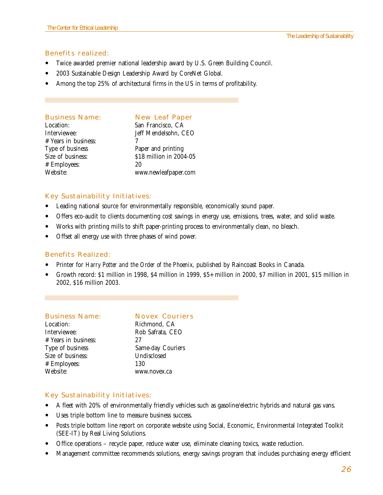### **Benefits realized:**

- ! Twice awarded premier national leadership award by U.S. Green Building Council.
- ! 2003 Sustainable Design Leadership Award by CoreNet Global.
- Among the top 25% of architectural firms in the US in terms of profitability.

#### **Business Name: New Leaf Paper**

# Years in business: 7 Type of business Paper and printing # Employees:

Location: San Francisco, CA Interviewee: Jeff Mendelsohn, CEO Size of business:  $$18$  million in 2004-05<br># Employees:  $$20$ Website: www.newleafpaper.com

### **Key Sustainability Initiatives:**

- ! Leading national source for environmentally responsible, economically sound paper.
- ! Offers eco-audit to clients documenting cost savings in energy use, emissions, trees, water, and solid waste.
- ! Works with printing mills to shift paper-printing process to environmentally clean, no bleach.
- ! Offset all energy use with three phases of wind power.

### **Benefits Realized:**

- ! Printer for *Harry Potter and the Order of the Phoenix*, published by Raincoast Books in Canada.
- ! Growth record: \$1 million in 1998, \$4 million in 1999, \$5+ million in 2000, \$7 million in 2001, \$15 million in 2002, \$16 million 2003.

### **Business Name: Novex Couriers**

| Richmond, CA      |
|-------------------|
| Rob Safrata, CEO  |
| 27                |
| Same-day Couriers |
| Undisclosed       |
| 130               |
| www.novex.ca      |
|                   |

### **Key Sustainability Initiatives:**

- ! A fleet with 20% of environmentally friendly vehicles such as gasoline/electric hybrids and natural gas vans.
- ! Uses triple bottom line to measure business success.
- ! Posts triple bottom line report on corporate website using Social, Economic, Environmental Integrated Toolkit (SEE-IT) by Real Living Solutions.
- ! Office operations recycle paper, reduce water use, eliminate cleaning toxics, waste reduction.
- ! Management committee recommends solutions, energy savings program that includes purchasing energy efficient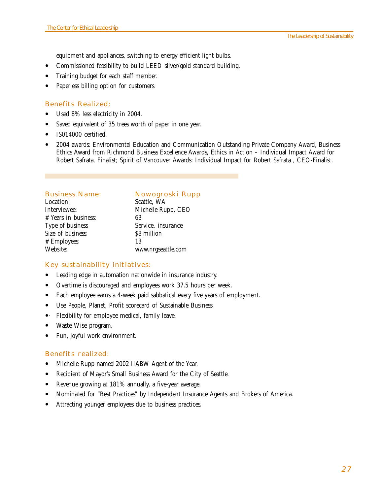equipment and appliances, switching to energy efficient light bulbs.

- Commissioned feasibility to build LEED silver/gold standard building.
- ! Training budget for each staff member.
- Paperless billing option for customers.

### **Benefits Realized:**

- Used 8% less electricity in 2004.
- ! Saved equivalent of 35 trees worth of paper in one year.
- IS014000 certified.
- ! 2004 awards: Environmental Education and Communication Outstanding Private Company Award, Business Ethics Award from Richmond Business Excellence Awards, Ethics in Action – Individual Impact Award for Robert Safrata, Finalist; Spirit of Vancouver Awards: Individual Impact for Robert Safrata , CEO-Finalist.

| <b>Business Name:</b> | Nowogroski Rupp    |
|-----------------------|--------------------|
| Location:             | Seattle, WA        |
| Interviewee:          | Michelle Rupp, CEO |
| # Years in business:  | 63                 |
| Type of business      | Service, insurance |
| Size of business:     | \$8 million        |
| # Employees:          | 13                 |
| Website:              | www.nrgseattle.com |
|                       |                    |

### **Key sustainability initiatives:**

- ! Leading edge in automation nationwide in insurance industry.
- ! Overtime is discouraged and employees work 37.5 hours per week.
- ! Each employee earns a 4-week paid sabbatical every five years of employment.
- ! Use People, Planet, Profit scorecard of Sustainable Business.
- Flexibility for employee medical, family leave.
- Waste Wise program.
- Fun, joyful work environment.

### **Benefits realized:**

- ! Michelle Rupp named 2002 IIABW Agent of the Year.
- ! Recipient of Mayor's Small Business Award for the City of Seattle.
- Revenue growing at 181% annually, a five-year average.
- ! Nominated for "Best Practices" by Independent Insurance Agents and Brokers of America.
- ! Attracting younger employees due to business practices.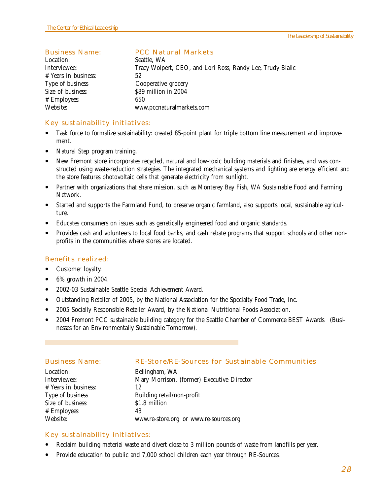### **Business Name: PCC Natural Markets**

Location: Seattle, WA Interviewee: Tracy Wolpert, CEO, and Lori Ross, Randy Lee, Trudy Bialic # Years in business: 52 Type of business Cooperative grocery Size of business:  $$89$  million in 2004 # Employees: 650 Website: www.pccnaturalmarkets.com

### **Key sustainability initiatives:**

- ! Task force to formalize sustainability: created 85-point plant for triple bottom line measurement and improvement.
- Natural Step program training.
- ! New Fremont store incorporates recycled, natural and low-toxic building materials and finishes, and was constructed using waste-reduction strategies. The integrated mechanical systems and lighting are energy efficient and the store features photovoltaic cells that generate electricity from sunlight.
- Partner with organizations that share mission, such as Monterey Bay Fish, WA Sustainable Food and Farming Network.
- ! Started and supports the Farmland Fund, to preserve organic farmland, also supports local, sustainable agriculture.
- ! Educates consumers on issues such as genetically engineered food and organic standards.
- ! Provides cash and volunteers to local food banks, and cash rebate programs that support schools and other nonprofits in the communities where stores are located.

### **Benefits realized:**

- Customer loyalty.
- $\bullet$  6% growth in 2004.
- ! 2002-03 Sustainable Seattle Special Achievement Award.
- ! Outstanding Retailer of 2005, by the National Association for the Specialty Food Trade, Inc.
- ! 2005 Socially Responsible Retailer Award, by the National Nutritional Foods Association.
- ! 2004 Fremont PCC sustainable building category for the Seattle Chamber of Commerce BEST Awards. (Businesses for an Environmentally Sustainable Tomorrow).

| <b>Business Name:</b> | RE-Store/RE-Sources for Sustainable Communities |
|-----------------------|-------------------------------------------------|
| Location:             | Bellingham, WA                                  |
| Interviewee:          | Mary Morrison, (former) Executive Director      |
| # Years in business:  | 12                                              |
| Type of business      | Building retail/non-profit                      |
| Size of business:     | \$1.8 million                                   |
| # Employees:          | 43                                              |
| Website:              | www.re-store.org or www.re-sources.org          |

### **Key sustainability initiatives:**

- ! Reclaim building material waste and divert close to 3 million pounds of waste from landfills per year.
- ! Provide education to public and 7,000 school children each year through RE-Sources.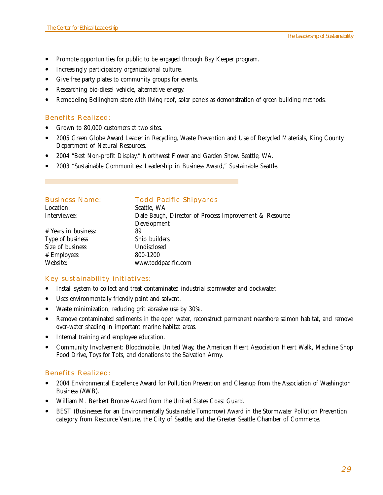- Promote opportunities for public to be engaged through Bay Keeper program.
- ! Increasingly participatory organizational culture.
- ! Give free party plates to community groups for events.
- ! Researching bio-diesel vehicle, alternative energy.
- ! Remodeling Bellingham store with living roof, solar panels as demonstration of green building methods.

### **Benefits Realized:**

- Grown to 80,000 customers at two sites.
- ! 2005 Green Globe Award Leader in Recycling, Waste Prevention and Use of Recycled Materials, King County Department of Natural Resources.
- ! 2004 "Best Non-profit Display," Northwest Flower and Garden Show. Seattle, WA.
- ! 2003 "Sustainable Communities: Leadership in Business Award," Sustainable Seattle.

| <b>Business Name:</b> | <b>Todd Pacific Shipyards</b>                          |
|-----------------------|--------------------------------------------------------|
| Location:             | Seattle, WA                                            |
| Interviewee:          | Dale Baugh, Director of Process Improvement & Resource |
|                       | Development                                            |
| # Years in business:  | 89                                                     |
| Type of business      | Ship builders                                          |
| Size of business:     | Undisclosed                                            |
| # Employees:          | 800-1200                                               |
| Website:              | www.toddpacific.com                                    |
|                       |                                                        |

### **Key sustainability initiatives:**

- ! Install system to collect and treat contaminated industrial stormwater and dockwater.
- ! Uses environmentally friendly paint and solvent.
- ! Waste minimization, reducing grit abrasive use by 30%.
- ! Remove contaminated sediments in the open water, reconstruct permanent nearshore salmon habitat, and remove over-water shading in important marine habitat areas.
- Internal training and employee education.
- ! Community Involvement: Bloodmobile, United Way, the American Heart Association Heart Walk, Machine Shop Food Drive, Toys for Tots, and donations to the Salvation Army.

### **Benefits Realized:**

- ! 2004 Environmental Excellence Award for Pollution Prevention and Cleanup from the Association of Washington Business (AWB).
- ! William M. Benkert Bronze Award from the United States Coast Guard.
- ! BEST (Businesses for an Environmentally Sustainable Tomorrow) Award in the Stormwater Pollution Prevention category from Resource Venture, the City of Seattle, and the Greater Seattle Chamber of Commerce.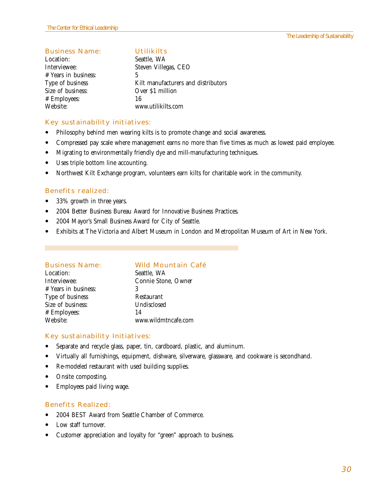### **Business Name: Utilikilts**

Location: Seattle, WA # Years in business: 5 Size of business: Over \$1 million # Employees: 16

Interviewee: Steven Villegas, CEO Type of business Kilt manufacturers and distributors www.utilikilts.com

### **Key sustainability initiatives:**

- Philosophy behind men wearing kilts is to promote change and social awareness.
- ! Compressed pay scale where management earns no more than five times as much as lowest paid employee.
- ! Migrating to environmentally friendly dye and mill-manufacturing techniques.
- Uses triple bottom line accounting.
- ! Northwest Kilt Exchange program, volunteers earn kilts for charitable work in the community.

### **Benefits realized:**

- 33% growth in three years.
- 2004 Better Business Bureau Award for Innovative Business Practices.
- ! 2004 Mayor's Small Business Award for City of Seattle.
- ! Exhibits at The Victoria and Albert Museum in London and Metropolitan Museum of Art in New York.

| <b>Wild Mountain Café</b> |
|---------------------------|
|                           |
|                           |
|                           |
|                           |
|                           |
|                           |
|                           |
|                           |

### **Key sustainability Initiatives:**

- ! Separate and recycle glass, paper, tin, cardboard, plastic, and aluminum.
- ! Virtually all furnishings, equipment, dishware, silverware, glassware, and cookware is secondhand.
- Re-modeled restaurant with used building supplies.
- Onsite composting.
- Employees paid living wage.

### **Benefits Realized:**

- ! 2004 BEST Award from Seattle Chamber of Commerce.
- Low staff turnover.
- Customer appreciation and loyalty for "green" approach to business.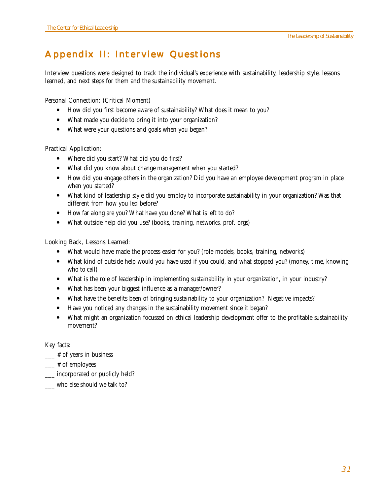## **Appendix II: Interview Questions**

Interview questions were designed to track the individual's experience with sustainability, leadership style, lessons learned, and next steps for them and the sustainability movement.

Personal Connection: (Critical Moment)

- ! How did you first become aware of sustainability? What does it mean to you?
- ! What made you decide to bring it into your organization?
- ! What were your questions and goals when you began?

Practical Application:

- Where did you start? What did you do first?
- ! What did you know about change management when you started?
- ! How did you engage others in the organization? Did you have an employee development program in place when you started?
- ! What kind of leadership style did you employ to incorporate sustainability in your organization? Was that different from how you led before?
- ! How far along are you? What have you done? What is left to do?
- ! What outside help did you use? (books, training, networks, prof. orgs)

Looking Back, Lessons Learned:

- ! What would have made the process easier for you? (role models, books, training, networks)
- ! What kind of outside help would you have used if you could, and what stopped you? (money, time, knowing who to call)
- ! What is the role of leadership in implementing sustainability in your organization, in your industry?
- ! What has been your biggest influence as a manager/owner?
- ! What have the benefits been of bringing sustainability to your organization? Negative impacts?
- ! Have you noticed any changes in the sustainability movement since it began?
- ! What might an organization focussed on ethical leadership development offer to the profitable sustainability movement?

Key facts:

- \_\_\_ # of years in business
- $\equiv$  # of employees
- \_\_\_ incorporated or publicly held?
- \_\_\_ who else should we talk to?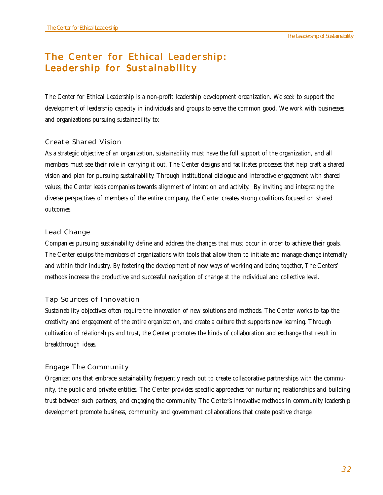### **The Center for Ethical Leadership: The Center for Ethical Leadership for Sustainability**

The Center for Ethical Leadership is a non-profit leadership development organization. We seek to support the development of leadership capacity in individuals and groups to serve the common good. We work with businesses and organizations pursuing sustainability to:

### **Create Shared Vision**

As a strategic objective of an organization, sustainability must have the full support of the organization, and all members must see their role in carrying it out. The Center designs and facilitates processes that help craft a shared vision and plan for pursuing sustainability. Through institutional dialogue and interactive engagement with shared values, the Center leads companies towards alignment of intention and activity. By inviting and integrating the diverse perspectives of members of the entire company, the Center creates strong coalitions focused on shared outcomes.

### **Lead Change**

Companies pursuing sustainability define and address the changes that must occur in order to achieve their goals. The Center equips the members of organizations with tools that allow them to initiate and manage change internally and within their industry. By fostering the development of new ways of working and being together, The Centers' methods increase the productive and successful navigation of change at the individual and collective level.

### **Tap Sources of Innovation**

Sustainability objectives often require the innovation of new solutions and methods. The Center works to tap the creativity and engagement of the entire organization, and create a culture that supports new learning. Through cultivation of relationships and trust, the Center promotes the kinds of collaboration and exchange that result in breakthrough ideas.

### **Engage The Community**

Organizations that embrace sustainability frequently reach out to create collaborative partnerships with the community, the public and private entities. The Center provides specific approaches for nurturing relationships and building trust between such partners, and engaging the community. The Center's innovative methods in community leadership development promote business, community and government collaborations that create positive change.